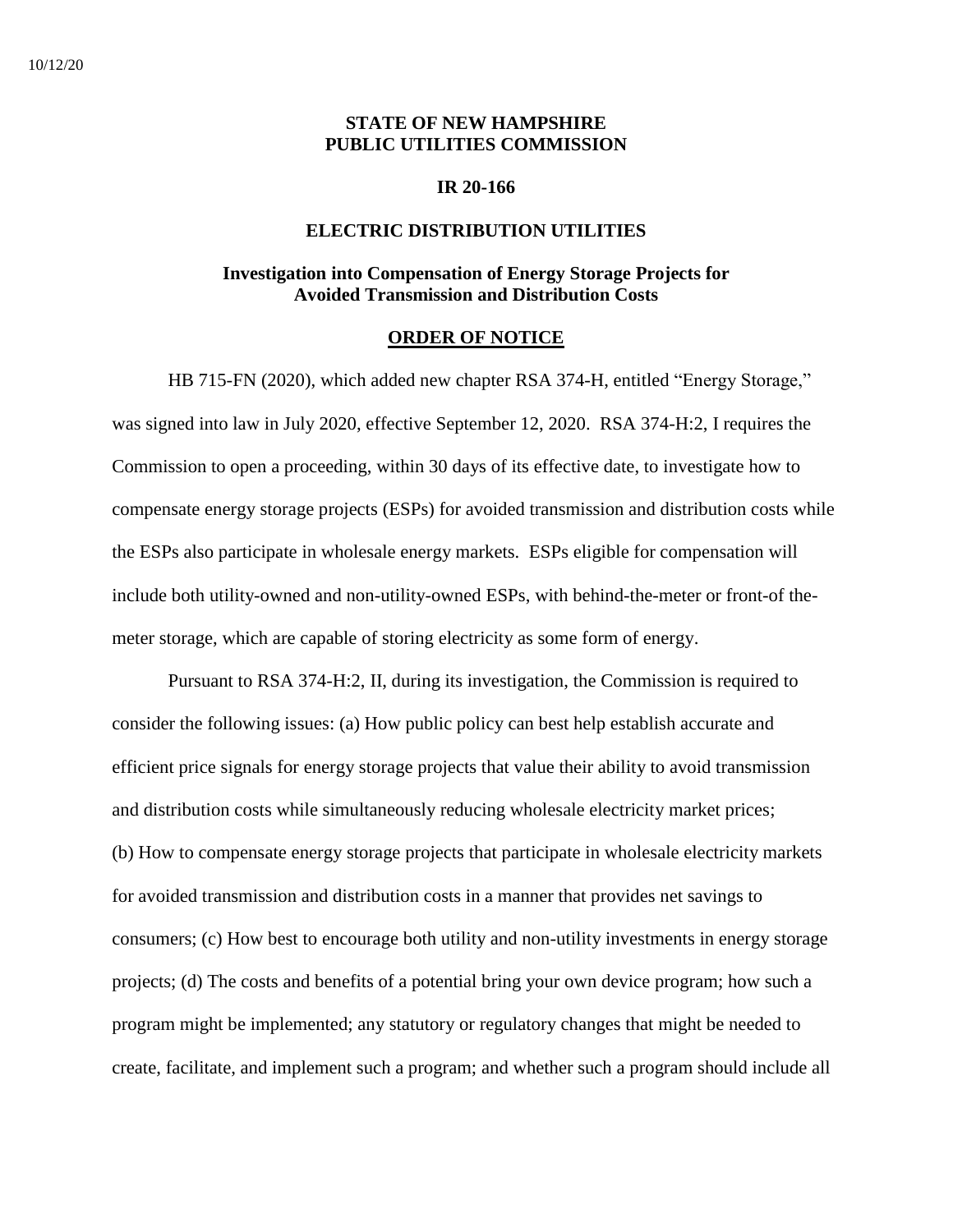## **STATE OF NEW HAMPSHIRE PUBLIC UTILITIES COMMISSION**

### **IR 20-166**

#### **ELECTRIC DISTRIBUTION UTILITIES**

## **Investigation into Compensation of Energy Storage Projects for Avoided Transmission and Distribution Costs**

#### **ORDER OF NOTICE**

HB 715-FN (2020), which added new chapter RSA 374-H, entitled "Energy Storage," was signed into law in July 2020, effective September 12, 2020. RSA 374-H:2, I requires the Commission to open a proceeding, within 30 days of its effective date, to investigate how to compensate energy storage projects (ESPs) for avoided transmission and distribution costs while the ESPs also participate in wholesale energy markets. ESPs eligible for compensation will include both utility-owned and non-utility-owned ESPs, with behind-the-meter or front-of themeter storage, which are capable of storing electricity as some form of energy.

Pursuant to RSA 374-H:2, II, during its investigation, the Commission is required to consider the following issues: (a) How public policy can best help establish accurate and efficient price signals for energy storage projects that value their ability to avoid transmission and distribution costs while simultaneously reducing wholesale electricity market prices; (b) How to compensate energy storage projects that participate in wholesale electricity markets for avoided transmission and distribution costs in a manner that provides net savings to consumers; (c) How best to encourage both utility and non-utility investments in energy storage projects; (d) The costs and benefits of a potential bring your own device program; how such a program might be implemented; any statutory or regulatory changes that might be needed to create, facilitate, and implement such a program; and whether such a program should include all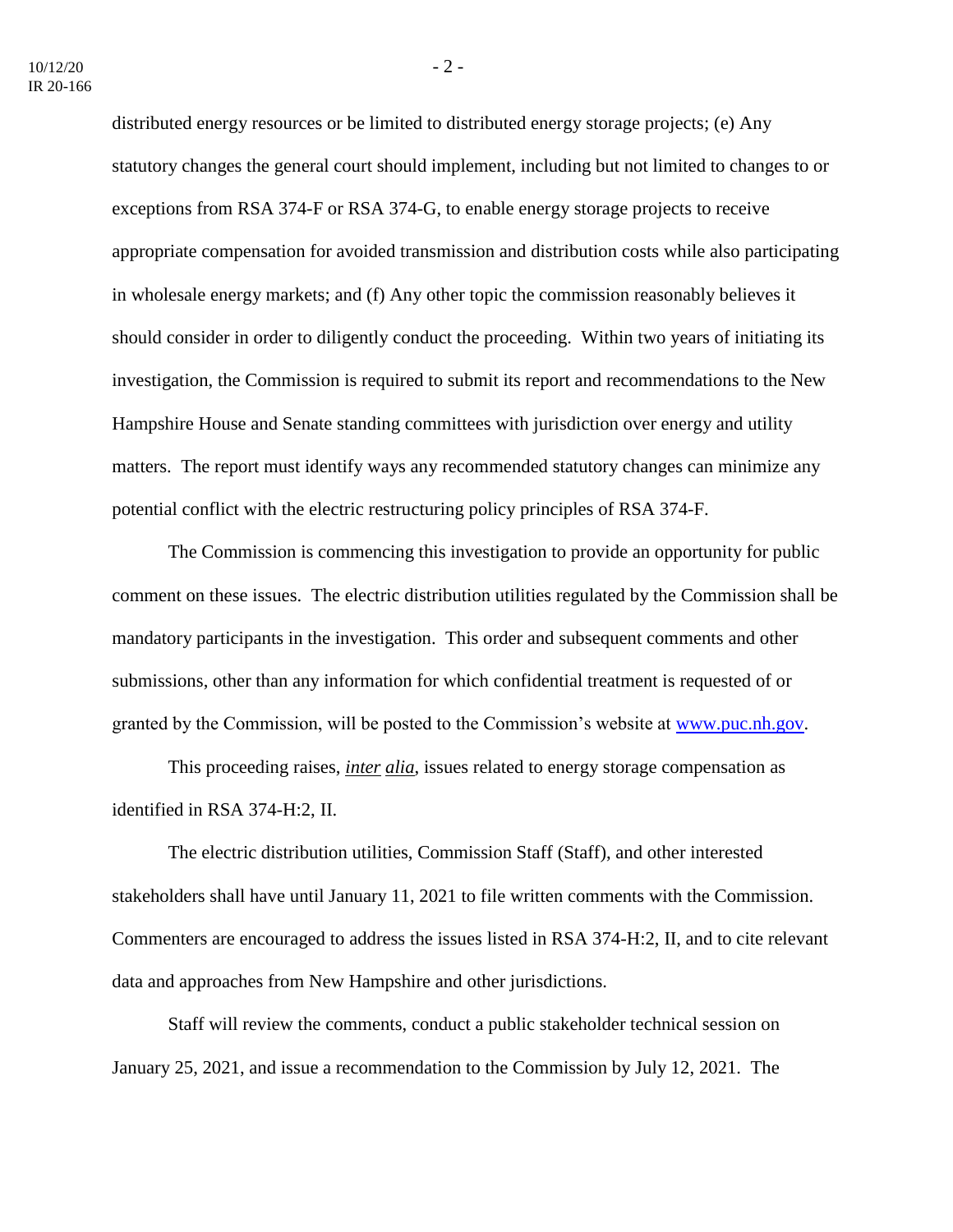distributed energy resources or be limited to distributed energy storage projects; (e) Any statutory changes the general court should implement, including but not limited to changes to or exceptions from RSA 374-F or RSA 374-G, to enable energy storage projects to receive appropriate compensation for avoided transmission and distribution costs while also participating in wholesale energy markets; and (f) Any other topic the commission reasonably believes it should consider in order to diligently conduct the proceeding. Within two years of initiating its investigation, the Commission is required to submit its report and recommendations to the New Hampshire House and Senate standing committees with jurisdiction over energy and utility matters. The report must identify ways any recommended statutory changes can minimize any potential conflict with the electric restructuring policy principles of RSA 374-F.

The Commission is commencing this investigation to provide an opportunity for public comment on these issues. The electric distribution utilities regulated by the Commission shall be mandatory participants in the investigation. This order and subsequent comments and other submissions, other than any information for which confidential treatment is requested of or granted by the Commission, will be posted to the Commission's website at [www.puc.nh.gov.](http://www.puc.nh.gov/)

This proceeding raises, *inter alia*, issues related to energy storage compensation as identified in RSA 374-H:2, II.

The electric distribution utilities, Commission Staff (Staff), and other interested stakeholders shall have until January 11, 2021 to file written comments with the Commission. Commenters are encouraged to address the issues listed in RSA 374-H:2, II, and to cite relevant data and approaches from New Hampshire and other jurisdictions.

Staff will review the comments, conduct a public stakeholder technical session on January 25, 2021, and issue a recommendation to the Commission by July 12, 2021. The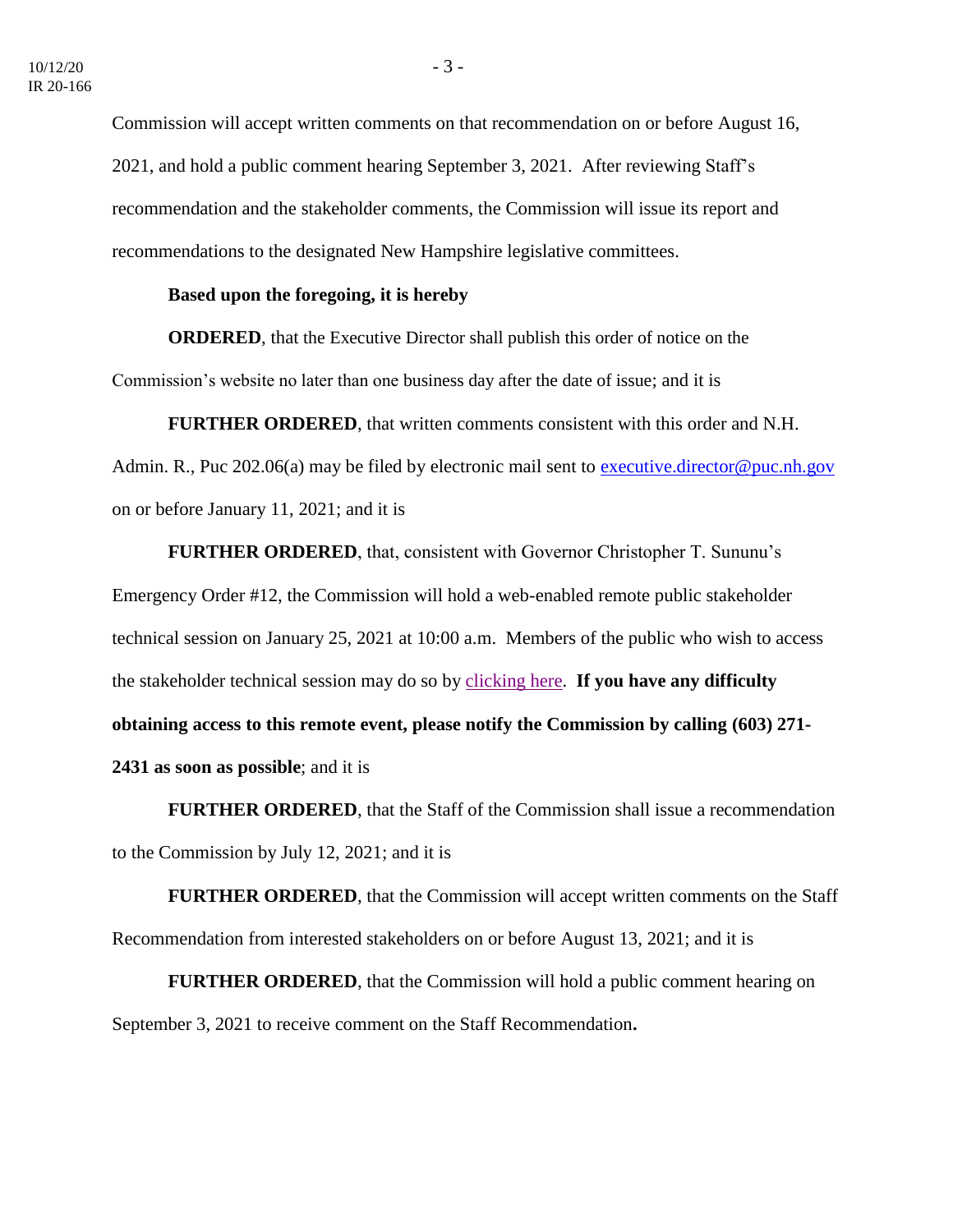Commission will accept written comments on that recommendation on or before August 16, 2021, and hold a public comment hearing September 3, 2021. After reviewing Staff's recommendation and the stakeholder comments, the Commission will issue its report and recommendations to the designated New Hampshire legislative committees.

## **Based upon the foregoing, it is hereby**

**ORDERED**, that the Executive Director shall publish this order of notice on the Commission's website no later than one business day after the date of issue; and it is

**FURTHER ORDERED**, that written comments consistent with this order and N.H.

Admin. R., Puc 202.06(a) may be filed by electronic mail sent to [executive.director@puc.nh.gov](mailto:executive.director@puc.nh.gov) on or before January 11, 2021; and it is

**FURTHER ORDERED**, that, consistent with Governor Christopher T. Sununu's Emergency Order #12, the Commission will hold a web-enabled remote public stakeholder technical session on January 25, 2021 at 10:00 a.m. Members of the public who wish to access the stakeholder technical session may do so by [clicking here.](https://www.puc.nh.gov/Regulatory/Calendar-Remote.html) **If you have any difficulty obtaining access to this remote event, please notify the Commission by calling (603) 271- 2431 as soon as possible**; and it is

**FURTHER ORDERED**, that the Staff of the Commission shall issue a recommendation to the Commission by July 12, 2021; and it is

**FURTHER ORDERED**, that the Commission will accept written comments on the Staff Recommendation from interested stakeholders on or before August 13, 2021; and it is

**FURTHER ORDERED**, that the Commission will hold a public comment hearing on September 3, 2021 to receive comment on the Staff Recommendation**.**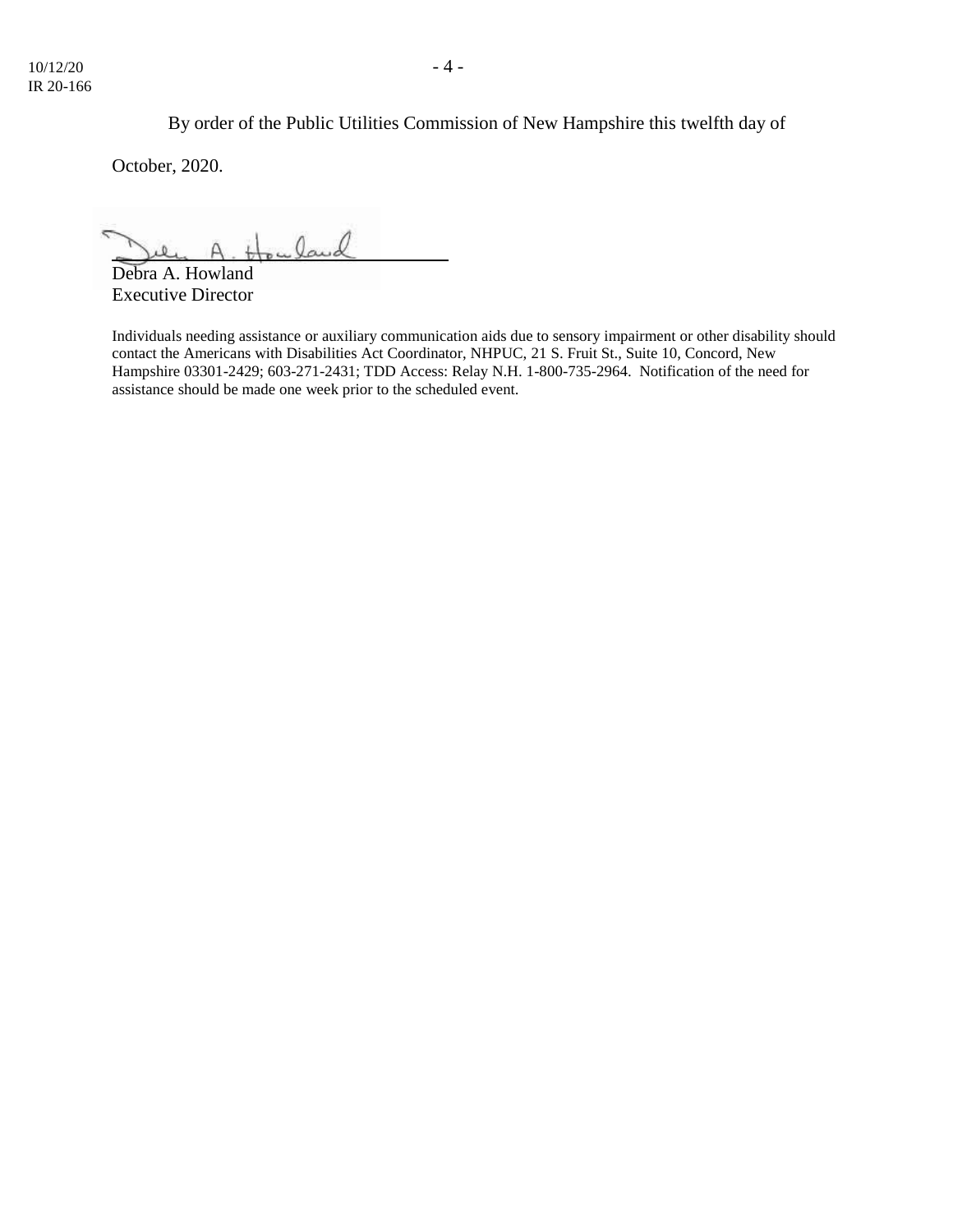By order of the Public Utilities Commission of New Hampshire this twelfth day of

October, 2020.

uland

Debra A. Howland Executive Director

Individuals needing assistance or auxiliary communication aids due to sensory impairment or other disability should contact the Americans with Disabilities Act Coordinator, NHPUC, 21 S. Fruit St., Suite 10, Concord, New Hampshire 03301-2429; 603-271-2431; TDD Access: Relay N.H. 1-800-735-2964. Notification of the need for assistance should be made one week prior to the scheduled event.